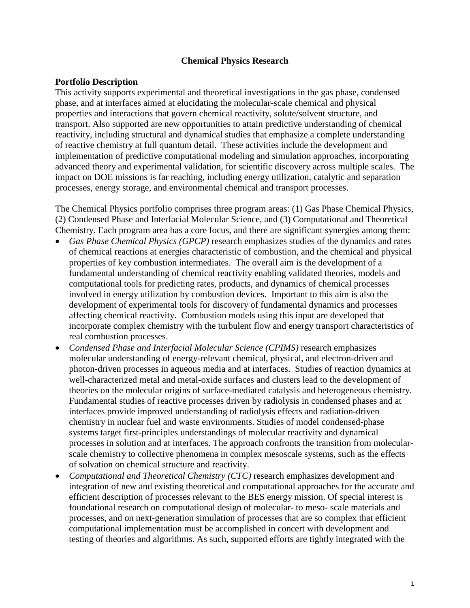#### **Chemical Physics Research**

#### **Portfolio Description**

This activity supports experimental and theoretical investigations in the gas phase, condensed phase, and at interfaces aimed at elucidating the molecular-scale chemical and physical properties and interactions that govern chemical reactivity, solute/solvent structure, and transport. Also supported are new opportunities to attain predictive understanding of chemical reactivity, including structural and dynamical studies that emphasize a complete understanding of reactive chemistry at full quantum detail. These activities include the development and implementation of predictive computational modeling and simulation approaches, incorporating advanced theory and experimental validation, for scientific discovery across multiple scales. The impact on DOE missions is far reaching, including energy utilization, catalytic and separation processes, energy storage, and environmental chemical and transport processes.

The Chemical Physics portfolio comprises three program areas: (1) Gas Phase Chemical Physics, (2) Condensed Phase and Interfacial Molecular Science, and (3) Computational and Theoretical Chemistry. Each program area has a core focus, and there are significant synergies among them:

- *Gas Phase Chemical Physics (GPCP)* research emphasizes studies of the dynamics and rates of chemical reactions at energies characteristic of combustion, and the chemical and physical properties of key combustion intermediates. The overall aim is the development of a fundamental understanding of chemical reactivity enabling validated theories, models and computational tools for predicting rates, products, and dynamics of chemical processes involved in energy utilization by combustion devices. Important to this aim is also the development of experimental tools for discovery of fundamental dynamics and processes affecting chemical reactivity. Combustion models using this input are developed that incorporate complex chemistry with the turbulent flow and energy transport characteristics of real combustion processes.
- *Condensed Phase and Interfacial Molecular Science (CPIMS)* research emphasizes molecular understanding of energy-relevant chemical, physical, and electron-driven and photon-driven processes in aqueous media and at interfaces. Studies of reaction dynamics at well-characterized metal and metal-oxide surfaces and clusters lead to the development of theories on the molecular origins of surface-mediated catalysis and heterogeneous chemistry. Fundamental studies of reactive processes driven by radiolysis in condensed phases and at interfaces provide improved understanding of radiolysis effects and radiation-driven chemistry in nuclear fuel and waste environments. Studies of model condensed-phase systems target first-principles understandings of molecular reactivity and dynamical processes in solution and at interfaces. The approach confronts the transition from molecularscale chemistry to collective phenomena in complex mesoscale systems, such as the effects of solvation on chemical structure and reactivity.
- *Computational and Theoretical Chemistry (CTC)* research emphasizes development and integration of new and existing theoretical and computational approaches for the accurate and efficient description of processes relevant to the BES energy mission. Of special interest is foundational research on computational design of molecular- to meso- scale materials and processes, and on next-generation simulation of processes that are so complex that efficient computational implementation must be accomplished in concert with development and testing of theories and algorithms. As such, supported efforts are tightly integrated with the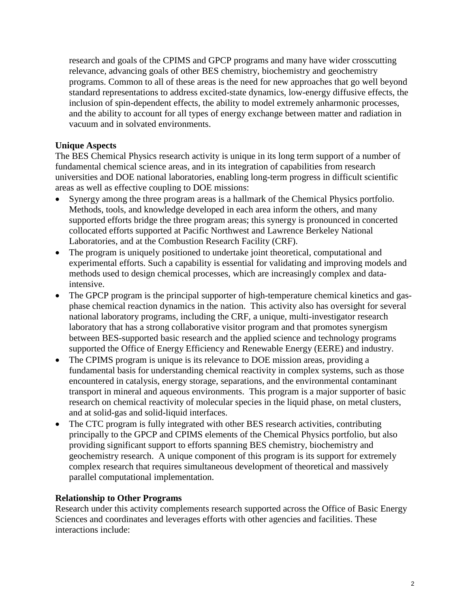research and goals of the CPIMS and GPCP programs and many have wider crosscutting relevance, advancing goals of other BES chemistry, biochemistry and geochemistry programs. Common to all of these areas is the need for new approaches that go well beyond standard representations to address excited-state dynamics, low-energy diffusive effects, the inclusion of spin-dependent effects, the ability to model extremely anharmonic processes, and the ability to account for all types of energy exchange between matter and radiation in vacuum and in solvated environments.

### **Unique Aspects**

The BES Chemical Physics research activity is unique in its long term support of a number of fundamental chemical science areas, and in its integration of capabilities from research universities and DOE national laboratories, enabling long-term progress in difficult scientific areas as well as effective coupling to DOE missions:

- Synergy among the three program areas is a hallmark of the Chemical Physics portfolio. Methods, tools, and knowledge developed in each area inform the others, and many supported efforts bridge the three program areas; this synergy is pronounced in concerted collocated efforts supported at Pacific Northwest and Lawrence Berkeley National Laboratories, and at the Combustion Research Facility (CRF).
- The program is uniquely positioned to undertake joint theoretical, computational and experimental efforts. Such a capability is essential for validating and improving models and methods used to design chemical processes, which are increasingly complex and dataintensive.
- The GPCP program is the principal supporter of high-temperature chemical kinetics and gasphase chemical reaction dynamics in the nation. This activity also has oversight for several national laboratory programs, including the CRF, a unique, multi-investigator research laboratory that has a strong collaborative visitor program and that promotes synergism between BES-supported basic research and the applied science and technology programs supported the Office of Energy Efficiency and Renewable Energy (EERE) and industry.
- The CPIMS program is unique is its relevance to DOE mission areas, providing a fundamental basis for understanding chemical reactivity in complex systems, such as those encountered in catalysis, energy storage, separations, and the environmental contaminant transport in mineral and aqueous environments. This program is a major supporter of basic research on chemical reactivity of molecular species in the liquid phase, on metal clusters, and at solid-gas and solid-liquid interfaces.
- The CTC program is fully integrated with other BES research activities, contributing principally to the GPCP and CPIMS elements of the Chemical Physics portfolio, but also providing significant support to efforts spanning BES chemistry, biochemistry and geochemistry research. A unique component of this program is its support for extremely complex research that requires simultaneous development of theoretical and massively parallel computational implementation.

### **Relationship to Other Programs**

Research under this activity complements research supported across the Office of Basic Energy Sciences and coordinates and leverages efforts with other agencies and facilities. These interactions include: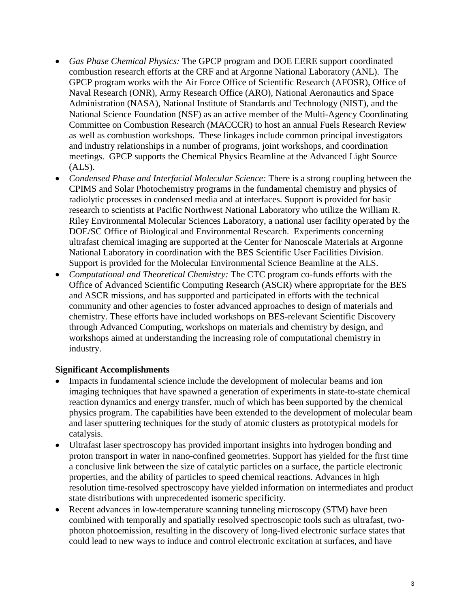- *Gas Phase Chemical Physics:* The GPCP program and DOE EERE support coordinated combustion research efforts at the CRF and at Argonne National Laboratory (ANL). The GPCP program works with the Air Force Office of Scientific Research (AFOSR), Office of Naval Research (ONR), Army Research Office (ARO), National Aeronautics and Space Administration (NASA), National Institute of Standards and Technology (NIST), and the National Science Foundation (NSF) as an active member of the Multi-Agency Coordinating Committee on Combustion Research (MACCCR) to host an annual Fuels Research Review as well as combustion workshops. These linkages include common principal investigators and industry relationships in a number of programs, joint workshops, and coordination meetings. GPCP supports the Chemical Physics Beamline at the Advanced Light Source  $(ALS).$
- *Condensed Phase and Interfacial Molecular Science:* There is a strong coupling between the CPIMS and Solar Photochemistry programs in the fundamental chemistry and physics of radiolytic processes in condensed media and at interfaces. Support is provided for basic research to scientists at Pacific Northwest National Laboratory who utilize the William R. Riley Environmental Molecular Sciences Laboratory, a national user facility operated by the DOE/SC Office of Biological and Environmental Research. Experiments concerning ultrafast chemical imaging are supported at the Center for Nanoscale Materials at Argonne National Laboratory in coordination with the BES Scientific User Facilities Division. Support is provided for the Molecular Environmental Science Beamline at the ALS.
- *Computational and Theoretical Chemistry:* The CTC program co-funds efforts with the Office of Advanced Scientific Computing Research (ASCR) where appropriate for the BES and ASCR missions, and has supported and participated in efforts with the technical community and other agencies to foster advanced approaches to design of materials and chemistry. These efforts have included workshops on BES-relevant Scientific Discovery through Advanced Computing, workshops on materials and chemistry by design, and workshops aimed at understanding the increasing role of computational chemistry in industry.

### **Significant Accomplishments**

- Impacts in fundamental science include the development of molecular beams and ion imaging techniques that have spawned a generation of experiments in state-to-state chemical reaction dynamics and energy transfer, much of which has been supported by the chemical physics program. The capabilities have been extended to the development of molecular beam and laser sputtering techniques for the study of atomic clusters as prototypical models for catalysis.
- Ultrafast laser spectroscopy has provided important insights into hydrogen bonding and proton transport in water in nano-confined geometries. Support has yielded for the first time a conclusive link between the size of catalytic particles on a surface, the particle electronic properties, and the ability of particles to speed chemical reactions. Advances in high resolution time-resolved spectroscopy have yielded information on intermediates and product state distributions with unprecedented isomeric specificity.
- Recent advances in low-temperature scanning tunneling microscopy (STM) have been combined with temporally and spatially resolved spectroscopic tools such as ultrafast, twophoton photoemission, resulting in the discovery of long-lived electronic surface states that could lead to new ways to induce and control electronic excitation at surfaces, and have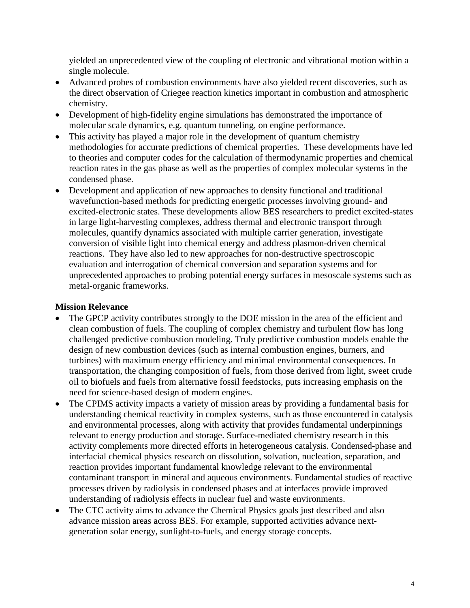yielded an unprecedented view of the coupling of electronic and vibrational motion within a single molecule.

- Advanced probes of combustion environments have also yielded recent discoveries, such as the direct observation of Criegee reaction kinetics important in combustion and atmospheric chemistry.
- Development of high-fidelity engine simulations has demonstrated the importance of molecular scale dynamics, e.g. quantum tunneling, on engine performance.
- This activity has played a major role in the development of quantum chemistry methodologies for accurate predictions of chemical properties. These developments have led to theories and computer codes for the calculation of thermodynamic properties and chemical reaction rates in the gas phase as well as the properties of complex molecular systems in the condensed phase.
- Development and application of new approaches to density functional and traditional wavefunction-based methods for predicting energetic processes involving ground- and excited-electronic states. These developments allow BES researchers to predict excited-states in large light-harvesting complexes, address thermal and electronic transport through molecules, quantify dynamics associated with multiple carrier generation, investigate conversion of visible light into chemical energy and address plasmon-driven chemical reactions. They have also led to new approaches for non-destructive spectroscopic evaluation and interrogation of chemical conversion and separation systems and for unprecedented approaches to probing potential energy surfaces in mesoscale systems such as metal-organic frameworks.

#### **Mission Relevance**

- The GPCP activity contributes strongly to the DOE mission in the area of the efficient and clean combustion of fuels. The coupling of complex chemistry and turbulent flow has long challenged predictive combustion modeling. Truly predictive combustion models enable the design of new combustion devices (such as internal combustion engines, burners, and turbines) with maximum energy efficiency and minimal environmental consequences. In transportation, the changing composition of fuels, from those derived from light, sweet crude oil to biofuels and fuels from alternative fossil feedstocks, puts increasing emphasis on the need for science-based design of modern engines.
- The CPIMS activity impacts a variety of mission areas by providing a fundamental basis for understanding chemical reactivity in complex systems, such as those encountered in catalysis and environmental processes, along with activity that provides fundamental underpinnings relevant to energy production and storage. Surface-mediated chemistry research in this activity complements more directed efforts in heterogeneous catalysis. Condensed-phase and interfacial chemical physics research on dissolution, solvation, nucleation, separation, and reaction provides important fundamental knowledge relevant to the environmental contaminant transport in mineral and aqueous environments. Fundamental studies of reactive processes driven by radiolysis in condensed phases and at interfaces provide improved understanding of radiolysis effects in nuclear fuel and waste environments.
- The CTC activity aims to advance the Chemical Physics goals just described and also advance mission areas across BES. For example, supported activities advance nextgeneration solar energy, sunlight-to-fuels, and energy storage concepts.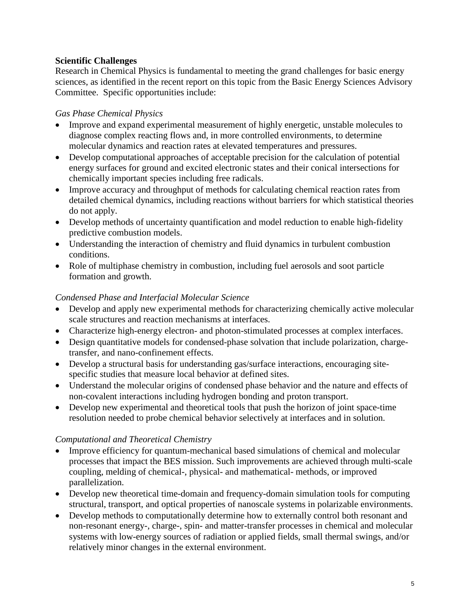### **Scientific Challenges**

Research in Chemical Physics is fundamental to meeting the grand challenges for basic energy sciences, as identified in the recent report on this topic from the Basic Energy Sciences Advisory Committee. Specific opportunities include:

## *Gas Phase Chemical Physics*

- Improve and expand experimental measurement of highly energetic, unstable molecules to diagnose complex reacting flows and, in more controlled environments, to determine molecular dynamics and reaction rates at elevated temperatures and pressures.
- Develop computational approaches of acceptable precision for the calculation of potential energy surfaces for ground and excited electronic states and their conical intersections for chemically important species including free radicals.
- Improve accuracy and throughput of methods for calculating chemical reaction rates from detailed chemical dynamics, including reactions without barriers for which statistical theories do not apply.
- Develop methods of uncertainty quantification and model reduction to enable high-fidelity predictive combustion models.
- Understanding the interaction of chemistry and fluid dynamics in turbulent combustion conditions.
- Role of multiphase chemistry in combustion, including fuel aerosols and soot particle formation and growth.

### *Condensed Phase and Interfacial Molecular Science*

- Develop and apply new experimental methods for characterizing chemically active molecular scale structures and reaction mechanisms at interfaces.
- Characterize high-energy electron- and photon-stimulated processes at complex interfaces.
- Design quantitative models for condensed-phase solvation that include polarization, chargetransfer, and nano-confinement effects.
- Develop a structural basis for understanding gas/surface interactions, encouraging sitespecific studies that measure local behavior at defined sites.
- Understand the molecular origins of condensed phase behavior and the nature and effects of non-covalent interactions including hydrogen bonding and proton transport.
- Develop new experimental and theoretical tools that push the horizon of joint space-time resolution needed to probe chemical behavior selectively at interfaces and in solution.

# *Computational and Theoretical Chemistry*

- Improve efficiency for quantum-mechanical based simulations of chemical and molecular processes that impact the BES mission. Such improvements are achieved through multi-scale coupling, melding of chemical-, physical- and mathematical- methods, or improved parallelization.
- Develop new theoretical time-domain and frequency-domain simulation tools for computing structural, transport, and optical properties of nanoscale systems in polarizable environments.
- Develop methods to computationally determine how to externally control both resonant and non-resonant energy-, charge-, spin- and matter-transfer processes in chemical and molecular systems with low-energy sources of radiation or applied fields, small thermal swings, and/or relatively minor changes in the external environment.